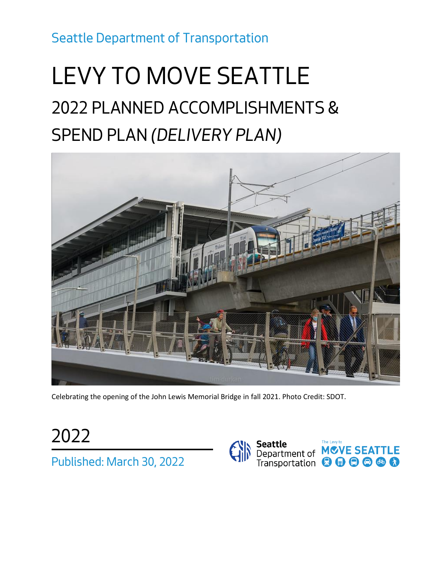*Seattle Department of Transportation*

# *LEVY TO MOVE SEATTLE 2022 PLANNED ACCOMPLISHMENTS & SPEND PLAN (DELIVERY PLAN)*



Celebrating the opening of the John Lewis Memorial Bridge in fall 2021. Photo Credit: SDOT.

*2022 Published: March 30, 2022*

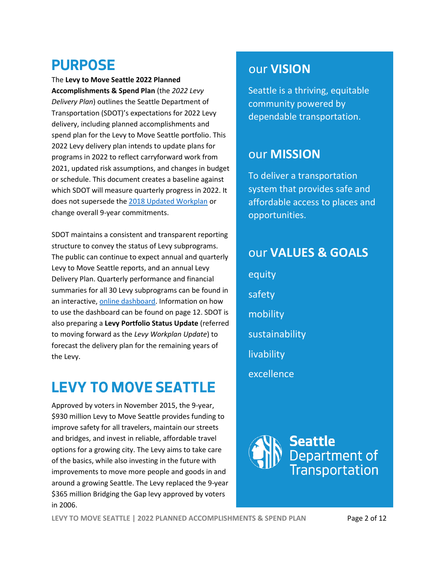### **PURPOSE**

The **Levy to Move Seattle 2022 Planned Accomplishments & Spend Plan** (the *2022 Levy Delivery Plan*) outlines the Seattle Department of Transportation (SDOT)'s expectations for 2022 Levy delivery, including planned accomplishments and spend plan for the Levy to Move Seattle portfolio. This 2022 Levy delivery plan intends to update plans for programs in 2022 to reflect carryforward work from 2021, updated risk assumptions, and changes in budget or schedule. This document creates a baseline against which SDOT will measure quarterly progress in 2022. It does not supersede th[e 2018 Updated Workplan](http://www.seattle.gov/Documents/Departments/SDOT/About/Funding/2018_1129_MoveSeattle_WorkPlan_FINAL.pdf) or change overall 9-year commitments.

SDOT maintains a consistent and transparent reporting structure to convey the status of Levy subprograms. The public can continue to expect annual and quarterly Levy to Move Seattle reports, and an annual Levy Delivery Plan. Quarterly performance and financial summaries for all 30 Levy subprograms can be found in an interactive[, online dashboard.](https://public.tableau.com/profile/city.of.seattle.transportation#!/vizhome/Levy_Dashboard_16141242942520/SafeRoutes) Information on how to use the dashboard can be found on page 12. SDOT is also preparing a **Levy Portfolio Status Update** (referred to moving forward as the *Levy Workplan Update*) to forecast the delivery plan for the remaining years of the Levy.

# **LEVY TO MOVE SEATTLE**

Approved by voters in November 2015, the 9-year, \$930 million Levy to Move Seattle provides funding to improve safety for all travelers, maintain our streets and bridges, and invest in reliable, affordable travel options for a growing city. The Levy aims to take care of the basics, while also investing in the future with improvements to move more people and goods in and around a growing Seattle. The Levy replaced the 9-year \$365 million Bridging the Gap levy approved by voters in 2006.

#### our **VISION**

Seattle is a thriving, equitable community powered by dependable transportation.

#### our **MISSION**

To deliver a transportation system that provides safe and affordable access to places and opportunities.

### our **VALUES & GOALS**

equity safety mobility sustainability livability excellence



**LEVY TO MOVE SEATTLE | 2022 PLANNED ACCOMPLISHMENTS & SPEND PLAN** Page 2 of 12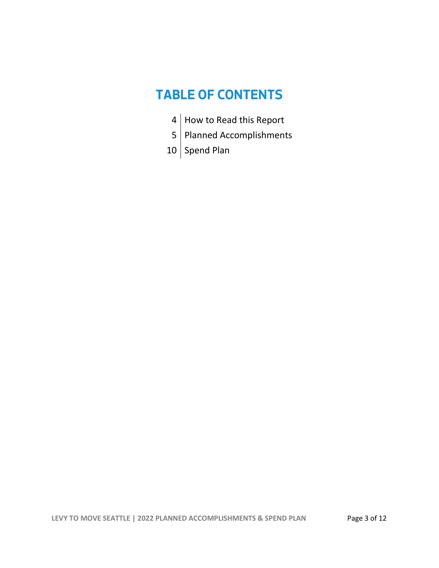### **TABLE OF CONTENTS**

- 4 How to Read this Report
- 5 Planned Accomplishments
- 10 Spend Plan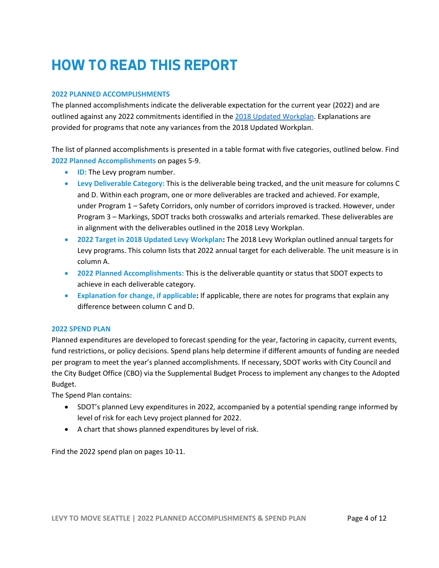### **HOW TO READ THIS REPORT**

#### **2022 PLANNED ACCOMPLISHMENTS**

The planned accomplishments indicate the deliverable expectation for the current year (2022) and are outlined against any 2022 commitments identified in the [2018 Updated Workplan.](http://www.seattle.gov/documents/Departments/SDOT/About/Funding/2018_1129_MoveSeattle_WorkPlan_FINAL.pdf) Explanations are provided for programs that note any variances from the 2018 Updated Workplan.

The list of planned accomplishments is presented in a table format with five categories, outlined below. Find **2022 Planned Accomplishments** on pages 5-9.

- **ID:** The Levy program number.
- **Levy Deliverable Category:** This is the deliverable being tracked, and the unit measure for columns C and D. Within each program, one or more deliverables are tracked and achieved. For example, under Program 1 – Safety Corridors, only number of corridors improved is tracked. However, under Program 3 – Markings, SDOT tracks both crosswalks and arterials remarked. These deliverables are in alignment with the deliverables outlined in the 2018 Levy Workplan.
- **2022 Target in 2018 Updated Levy Workplan:** The 2018 Levy Workplan outlined annual targets for Levy programs. This column lists that 2022 annual target for each deliverable. The unit measure is in column A.
- **2022 Planned Accomplishments:** This is the deliverable quantity or status that SDOT expects to achieve in each deliverable category.
- **Explanation for change, if applicable:** If applicable, there are notes for programs that explain any difference between column C and D.

#### **2022 SPEND PLAN**

Planned expenditures are developed to forecast spending for the year, factoring in capacity, current events, fund restrictions, or policy decisions. Spend plans help determine if different amounts of funding are needed per program to meet the year's planned accomplishments. If necessary, SDOT works with City Council and the City Budget Office (CBO) via the Supplemental Budget Process to implement any changes to the Adopted Budget.

The Spend Plan contains:

- SDOT's planned Levy expenditures in 2022, accompanied by a potential spending range informed by level of risk for each Levy project planned for 2022.
- A chart that shows planned expenditures by level of risk.

Find the 2022 spend plan on pages 10-11.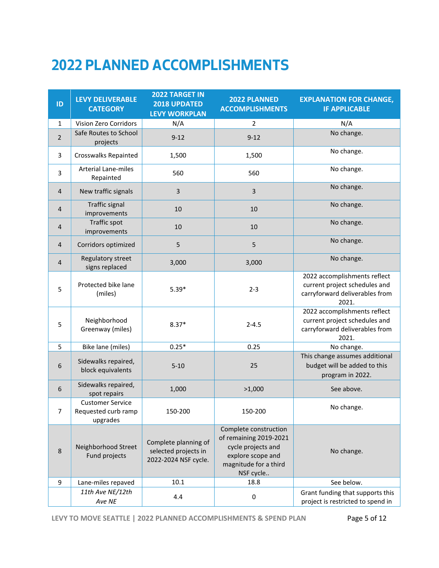# **2022 PLANNED ACCOMPLISHMENTS**

| ID             | <b>LEVY DELIVERABLE</b><br><b>CATEGORY</b>                 | 2022 TARGET IN<br>2018 UPDATED<br><b>LEVY WORKPLAN</b>               | 2022 PLANNED<br><b>ACCOMPLISHMENTS</b>                                                                                           | <b>EXPLANATION FOR CHANGE,</b><br><b>IF APPLICABLE</b>                                                   |  |
|----------------|------------------------------------------------------------|----------------------------------------------------------------------|----------------------------------------------------------------------------------------------------------------------------------|----------------------------------------------------------------------------------------------------------|--|
| $\mathbf{1}$   | <b>Vision Zero Corridors</b>                               | N/A                                                                  | 2                                                                                                                                | N/A                                                                                                      |  |
| $\overline{2}$ | Safe Routes to School<br>projects                          | $9 - 12$                                                             | $9 - 12$                                                                                                                         | No change.                                                                                               |  |
| 3              | Crosswalks Repainted                                       | 1,500                                                                | 1,500                                                                                                                            | No change.                                                                                               |  |
| 3              | <b>Arterial Lane-miles</b><br>Repainted                    | 560                                                                  | 560                                                                                                                              | No change.                                                                                               |  |
| 4              | New traffic signals                                        | 3                                                                    | 3                                                                                                                                | No change.                                                                                               |  |
| 4              | <b>Traffic signal</b><br>improvements                      | 10                                                                   | 10                                                                                                                               | No change.                                                                                               |  |
| 4              | <b>Traffic spot</b><br>improvements                        | 10                                                                   | 10                                                                                                                               | No change.                                                                                               |  |
| 4              | Corridors optimized                                        | 5                                                                    | 5                                                                                                                                | No change.                                                                                               |  |
| 4              | Regulatory street<br>signs replaced                        | 3,000                                                                | 3,000                                                                                                                            | No change.                                                                                               |  |
| 5              | Protected bike lane<br>(miles)                             | $5.39*$                                                              | $2 - 3$                                                                                                                          | 2022 accomplishments reflect<br>current project schedules and<br>carryforward deliverables from<br>2021. |  |
| 5              | Neighborhood<br>Greenway (miles)                           | $8.37*$                                                              | $2 - 4.5$                                                                                                                        | 2022 accomplishments reflect<br>current project schedules and<br>carryforward deliverables from<br>2021. |  |
| 5              | Bike lane (miles)                                          | $0.25*$                                                              | 0.25                                                                                                                             | No change.                                                                                               |  |
| 6              | Sidewalks repaired,<br>block equivalents                   | $5 - 10$                                                             | 25                                                                                                                               | This change assumes additional<br>budget will be added to this<br>program in 2022.                       |  |
| 6              | Sidewalks repaired,<br>spot repairs                        | 1,000                                                                | >1,000                                                                                                                           | See above.                                                                                               |  |
| 7              | <b>Customer Service</b><br>Requested curb ramp<br>upgrades | 150-200                                                              | 150-200                                                                                                                          | No change.                                                                                               |  |
| 8              | Neighborhood Street<br>Fund projects                       | Complete planning of<br>selected projects in<br>2022-2024 NSF cycle. | Complete construction<br>of remaining 2019-2021<br>cycle projects and<br>explore scope and<br>magnitude for a third<br>NSF cycle | No change.                                                                                               |  |
| 9              | Lane-miles repaved                                         | 10.1                                                                 | 18.8                                                                                                                             | See below.                                                                                               |  |
|                | 11th Ave NE/12th<br>Ave NE                                 | 4.4                                                                  | 0                                                                                                                                | Grant funding that supports this<br>project is restricted to spend in                                    |  |

**LEVY TO MOVE SEATTLE | 2022 PLANNED ACCOMPLISHMENTS & SPEND PLAN** Page 5 of 12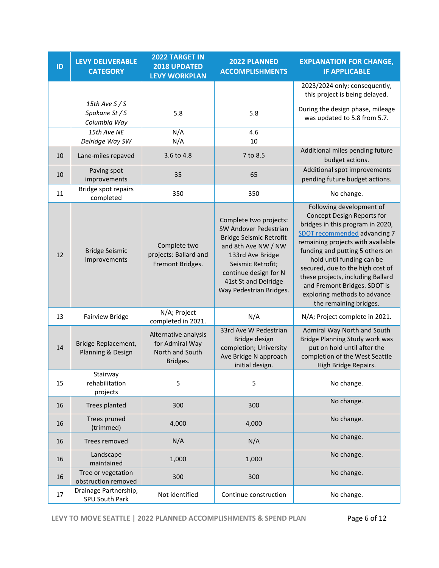| ID | <b>LEVY DELIVERABLE</b><br><b>CATEGORY</b>       | <b>2022 TARGET IN</b><br>2018 UPDATED<br><b>LEVY WORKPLAN</b>          | 2022 PLANNED<br><b>ACCOMPLISHMENTS</b>                                                                                                                                                                                        | <b>EXPLANATION FOR CHANGE,</b><br><b>IF APPLICABLE</b>                                                                                                                                                                                                                                                                                                                                             |  |
|----|--------------------------------------------------|------------------------------------------------------------------------|-------------------------------------------------------------------------------------------------------------------------------------------------------------------------------------------------------------------------------|----------------------------------------------------------------------------------------------------------------------------------------------------------------------------------------------------------------------------------------------------------------------------------------------------------------------------------------------------------------------------------------------------|--|
|    |                                                  |                                                                        |                                                                                                                                                                                                                               | 2023/2024 only; consequently,<br>this project is being delayed.                                                                                                                                                                                                                                                                                                                                    |  |
|    | 15th Ave $S/S$<br>Spokane St / S<br>Columbia Way | 5.8                                                                    | 5.8                                                                                                                                                                                                                           | During the design phase, mileage<br>was updated to 5.8 from 5.7.                                                                                                                                                                                                                                                                                                                                   |  |
|    | 15th Ave NE                                      | N/A                                                                    | 4.6                                                                                                                                                                                                                           |                                                                                                                                                                                                                                                                                                                                                                                                    |  |
|    | Delridge Way SW                                  | N/A                                                                    | 10                                                                                                                                                                                                                            |                                                                                                                                                                                                                                                                                                                                                                                                    |  |
| 10 | Lane-miles repaved                               | 3.6 to 4.8                                                             | 7 to 8.5                                                                                                                                                                                                                      | Additional miles pending future<br>budget actions.                                                                                                                                                                                                                                                                                                                                                 |  |
| 10 | Paving spot<br>improvements                      | 35                                                                     | 65                                                                                                                                                                                                                            | Additional spot improvements<br>pending future budget actions.                                                                                                                                                                                                                                                                                                                                     |  |
| 11 | Bridge spot repairs<br>completed                 | 350                                                                    | 350                                                                                                                                                                                                                           | No change.                                                                                                                                                                                                                                                                                                                                                                                         |  |
| 12 | <b>Bridge Seismic</b><br>Improvements            | Complete two<br>projects: Ballard and<br>Fremont Bridges.              | Complete two projects:<br>SW Andover Pedestrian<br><b>Bridge Seismic Retrofit</b><br>and 8th Ave NW / NW<br>133rd Ave Bridge<br>Seismic Retrofit;<br>continue design for N<br>41st St and Delridge<br>Way Pedestrian Bridges. | Following development of<br>Concept Design Reports for<br>bridges in this program in 2020,<br>SDOT recommended advancing 7<br>remaining projects with available<br>funding and putting 5 others on<br>hold until funding can be<br>secured, due to the high cost of<br>these projects, including Ballard<br>and Fremont Bridges. SDOT is<br>exploring methods to advance<br>the remaining bridges. |  |
| 13 | <b>Fairview Bridge</b>                           | N/A; Project<br>completed in 2021.                                     | N/A                                                                                                                                                                                                                           | N/A; Project complete in 2021.                                                                                                                                                                                                                                                                                                                                                                     |  |
| 14 | Bridge Replacement,<br>Planning & Design         | Alternative analysis<br>for Admiral Way<br>North and South<br>Bridges. | 33rd Ave W Pedestrian<br>Bridge design<br>completion; University<br>Ave Bridge N approach<br>initial design.                                                                                                                  | Admiral Way North and South<br>Bridge Planning Study work was<br>put on hold until after the<br>completion of the West Seattle<br>High Bridge Repairs.                                                                                                                                                                                                                                             |  |
| 15 | Stairway<br>rehabilitation<br>projects           | 5                                                                      | 5                                                                                                                                                                                                                             | No change.                                                                                                                                                                                                                                                                                                                                                                                         |  |
| 16 | Trees planted                                    | 300                                                                    | 300                                                                                                                                                                                                                           | No change.                                                                                                                                                                                                                                                                                                                                                                                         |  |
| 16 | Trees pruned<br>(trimmed)                        | 4,000                                                                  | 4,000                                                                                                                                                                                                                         | No change.                                                                                                                                                                                                                                                                                                                                                                                         |  |
| 16 | Trees removed                                    | N/A                                                                    | N/A                                                                                                                                                                                                                           | No change.                                                                                                                                                                                                                                                                                                                                                                                         |  |
| 16 | Landscape<br>maintained                          | 1,000                                                                  | 1,000                                                                                                                                                                                                                         | No change.                                                                                                                                                                                                                                                                                                                                                                                         |  |
| 16 | Tree or vegetation<br>obstruction removed        | 300                                                                    | 300                                                                                                                                                                                                                           | No change.                                                                                                                                                                                                                                                                                                                                                                                         |  |
| 17 | Drainage Partnership,<br>SPU South Park          | Not identified                                                         | Continue construction                                                                                                                                                                                                         | No change.                                                                                                                                                                                                                                                                                                                                                                                         |  |

**LEVY TO MOVE SEATTLE | 2022 PLANNED ACCOMPLISHMENTS & SPEND PLAN** Page 6 of 12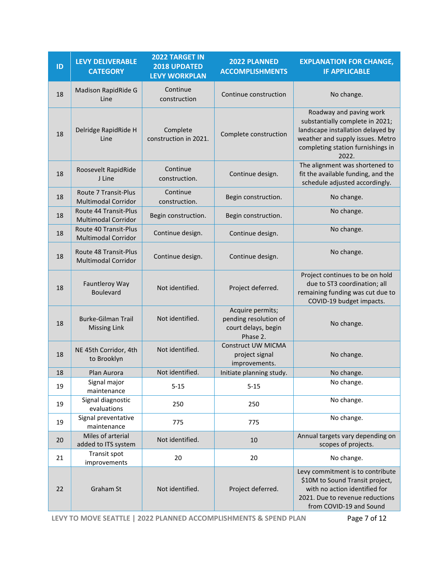| ID | <b>LEVY DELIVERABLE</b><br><b>CATEGORY</b>                 | 2022 TARGET IN<br>2018 UPDATED<br><b>LEVY WORKPLAN</b> | 2022 PLANNED<br><b>ACCOMPLISHMENTS</b>                                       | <b>EXPLANATION FOR CHANGE,</b><br><b>IF APPLICABLE</b>                                                                                                                            |
|----|------------------------------------------------------------|--------------------------------------------------------|------------------------------------------------------------------------------|-----------------------------------------------------------------------------------------------------------------------------------------------------------------------------------|
| 18 | Madison RapidRide G<br>Line                                | Continue<br>construction                               | Continue construction                                                        | No change.                                                                                                                                                                        |
| 18 | Delridge RapidRide H<br>Line                               | Complete<br>construction in 2021.                      | Complete construction                                                        | Roadway and paving work<br>substantially complete in 2021;<br>landscape installation delayed by<br>weather and supply issues. Metro<br>completing station furnishings in<br>2022. |
| 18 | Roosevelt RapidRide<br>J Line                              | Continue<br>construction.                              | Continue design.                                                             | The alignment was shortened to<br>fit the available funding, and the<br>schedule adjusted accordingly.                                                                            |
| 18 | Route 7 Transit-Plus<br><b>Multimodal Corridor</b>         | Continue<br>construction.                              | Begin construction.                                                          | No change.                                                                                                                                                                        |
| 18 | <b>Route 44 Transit-Plus</b><br><b>Multimodal Corridor</b> | Begin construction.                                    | Begin construction.                                                          | No change.                                                                                                                                                                        |
| 18 | Route 40 Transit-Plus<br><b>Multimodal Corridor</b>        | Continue design.                                       | Continue design.                                                             | No change.                                                                                                                                                                        |
| 18 | Route 48 Transit-Plus<br><b>Multimodal Corridor</b>        | Continue design.                                       | Continue design.                                                             | No change.                                                                                                                                                                        |
| 18 | Fauntleroy Way<br>Boulevard                                | Not identified.                                        | Project deferred.                                                            | Project continues to be on hold<br>due to ST3 coordination; all<br>remaining funding was cut due to<br>COVID-19 budget impacts.                                                   |
| 18 | <b>Burke-Gilman Trail</b><br><b>Missing Link</b>           | Not identified.                                        | Acquire permits;<br>pending resolution of<br>court delays, begin<br>Phase 2. | No change.                                                                                                                                                                        |
| 18 | NE 45th Corridor, 4th<br>to Brooklyn                       | Not identified.                                        | <b>Construct UW MICMA</b><br>project signal<br>improvements.                 | No change.                                                                                                                                                                        |
| 18 | Plan Aurora                                                | Not identified.                                        | Initiate planning study.                                                     | No change                                                                                                                                                                         |
| 19 | Signal major<br>maintenance                                | $5 - 15$                                               | $5 - 15$                                                                     | No change.                                                                                                                                                                        |
| 19 | Signal diagnostic<br>evaluations                           | 250                                                    | 250                                                                          | No change.                                                                                                                                                                        |
| 19 | Signal preventative<br>maintenance                         | 775                                                    | 775                                                                          | No change.                                                                                                                                                                        |
| 20 | Miles of arterial<br>added to ITS system                   | Not identified.                                        | 10                                                                           | Annual targets vary depending on<br>scopes of projects.                                                                                                                           |
| 21 | Transit spot<br>improvements                               | 20                                                     | 20                                                                           | No change.                                                                                                                                                                        |
| 22 | Graham St                                                  | Not identified.                                        | Project deferred.                                                            | Levy commitment is to contribute<br>\$10M to Sound Transit project,<br>with no action identified for<br>2021. Due to revenue reductions<br>from COVID-19 and Sound                |

**LEVY TO MOVE SEATTLE | 2022 PLANNED ACCOMPLISHMENTS & SPEND PLAN** Page 7 of 12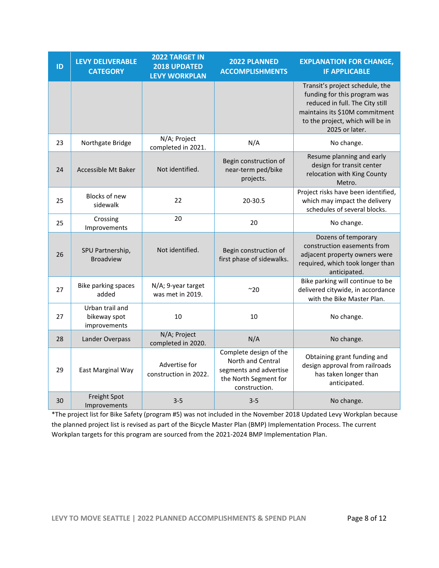| ID | <b>LEVY DELIVERABLE</b><br><b>CATEGORY</b>      | 2022 TARGET IN<br>2018 UPDATED<br><b>LEVY WORKPLAN</b> | 2022 PLANNED<br><b>ACCOMPLISHMENTS</b>                                                                          | <b>EXPLANATION FOR CHANGE,</b><br><b>IF APPLICABLE</b>                                                                                                                                     |  |
|----|-------------------------------------------------|--------------------------------------------------------|-----------------------------------------------------------------------------------------------------------------|--------------------------------------------------------------------------------------------------------------------------------------------------------------------------------------------|--|
|    |                                                 |                                                        |                                                                                                                 | Transit's project schedule, the<br>funding for this program was<br>reduced in full. The City still<br>maintains its \$10M commitment<br>to the project, which will be in<br>2025 or later. |  |
| 23 | Northgate Bridge                                | N/A; Project<br>completed in 2021.                     | N/A                                                                                                             | No change.                                                                                                                                                                                 |  |
| 24 | Accessible Mt Baker                             | Not identified.                                        | Begin construction of<br>near-term ped/bike<br>projects.                                                        | Resume planning and early<br>design for transit center<br>relocation with King County<br>Metro.                                                                                            |  |
| 25 | <b>Blocks of new</b><br>sidewalk                | 22                                                     | 20-30.5                                                                                                         | Project risks have been identified,<br>which may impact the delivery<br>schedules of several blocks.                                                                                       |  |
| 25 | Crossing<br>Improvements                        | 20                                                     | 20                                                                                                              | No change.                                                                                                                                                                                 |  |
| 26 | SPU Partnership,<br><b>Broadview</b>            | Not identified.                                        | Begin construction of<br>first phase of sidewalks.                                                              | Dozens of temporary<br>construction easements from<br>adjacent property owners were<br>required, which took longer than<br>anticipated.                                                    |  |
| 27 | <b>Bike parking spaces</b><br>added             | N/A; 9-year target<br>was met in 2019.                 | ~20                                                                                                             | Bike parking will continue to be<br>delivered citywide, in accordance<br>with the Bike Master Plan.                                                                                        |  |
| 27 | Urban trail and<br>bikeway spot<br>improvements | 10                                                     | 10                                                                                                              | No change.                                                                                                                                                                                 |  |
| 28 | Lander Overpass                                 | N/A; Project<br>completed in 2020.                     | N/A                                                                                                             | No change.                                                                                                                                                                                 |  |
| 29 | East Marginal Way                               | Advertise for<br>construction in 2022.                 | Complete design of the<br>North and Central<br>segments and advertise<br>the North Segment for<br>construction. | Obtaining grant funding and<br>design approval from railroads<br>has taken longer than<br>anticipated.                                                                                     |  |
| 30 | Freight Spot<br>Improvements                    | $3 - 5$                                                | $3 - 5$                                                                                                         | No change.                                                                                                                                                                                 |  |

\*The project list for Bike Safety (program #5) was not included in the November 2018 Updated Levy Workplan because the planned project list is revised as part of the Bicycle Master Plan (BMP) Implementation Process. The current Workplan targets for this program are sourced from the 2021-2024 BMP Implementation Plan.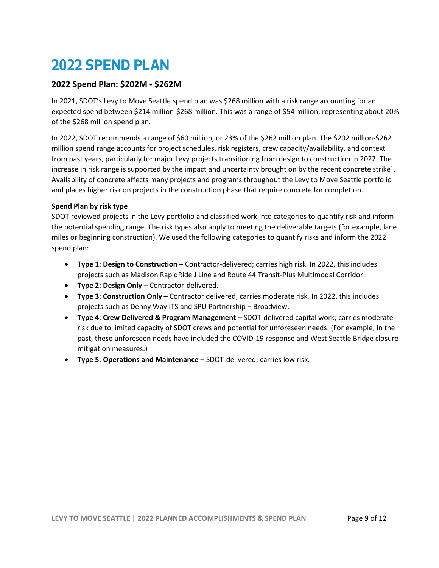### **2022 SPEND PLAN**

#### **2022 Spend Plan: \$202M - \$262M**

In 2021, SDOT's Levy to Move Seattle spend plan was \$268 million with a risk range accounting for an expected spend between \$214 million-\$268 million. This was a range of \$54 million, representing about 20% of the \$268 million spend plan.

In 2022, SDOT recommends a range of \$60 million, or 23% of the \$262 million plan. The \$202 million-\$262 million spend range accounts for project schedules, risk registers, crew capacity/availability, and context from past years, particularly for major Levy projects transitioning from design to construction in 2022. The increase in risk range is supported by the impact and uncertainty brought on by the recent concrete strike<sup>1</sup>. Availability of concrete affects many projects and programs throughout the Levy to Move Seattle portfolio and places higher risk on projects in the construction phase that require concrete for completion.

#### **Spend Plan by risk type**

SDOT reviewed projects in the Levy portfolio and classified work into categories to quantify risk and inform the potential spending range. The risk types also apply to meeting the deliverable targets (for example, lane miles or beginning construction). We used the following categories to quantify risks and inform the 2022 spend plan:

- **Type 1**: **Design to Construction** Contractor-delivered; carries high risk. In 2022, this includes projects such as Madison RapidRide J Line and Route 44 Transit-Plus Multimodal Corridor.
- **Type 2**: **Design Only**  Contractor-delivered.
- **Type 3**: **Construction Only**  Contractor delivered; carries moderate risk*.* **I**n 2022, this includes projects such as Denny Way ITS and SPU Partnership – Broadview.
- **Type 4**: **Crew Delivered & Program Management** SDOT-delivered capital work; carries moderate risk due to limited capacity of SDOT crews and potential for unforeseen needs. (For example, in the past, these unforeseen needs have included the COVID-19 response and West Seattle Bridge closure mitigation measures.)
- **Type 5**: **Operations and Maintenance** SDOT-delivered; carries low risk.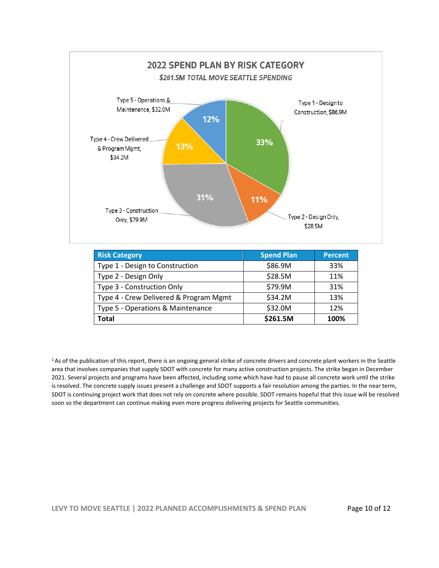

| <b>Risk Category</b>                   | <b>Spend Plan</b> | <b>Percent</b> |
|----------------------------------------|-------------------|----------------|
| Type 1 - Design to Construction        | \$86.9M           | 33%            |
| Type 2 - Design Only                   | \$28.5M           | 11%            |
| Type 3 - Construction Only             | \$79.9M           | 31%            |
| Type 4 - Crew Delivered & Program Mgmt | \$34.2M           | 13%            |
| Type 5 - Operations & Maintenance      | \$32.0M           | 12%            |
| <b>Total</b>                           | \$261.5M          | 100%           |

<sup>1</sup>As of the publication of this report, there is an ongoing general strike of concrete drivers and concrete plant workers in the Seattle area that involves companies that supply SDOT with concrete for many active construction projects. The strike began in December 2021. Several projects and programs have been affected, including some which have had to pause all concrete work until the strike is resolved. The concrete supply issues present a challenge and SDOT supports a fair resolution among the parties. In the near term, SDOT is continuing project work that does not rely on concrete where possible. SDOT remains hopeful that this issue will be resolved soon so the department can continue making even more progress delivering projects for Seattle communities.